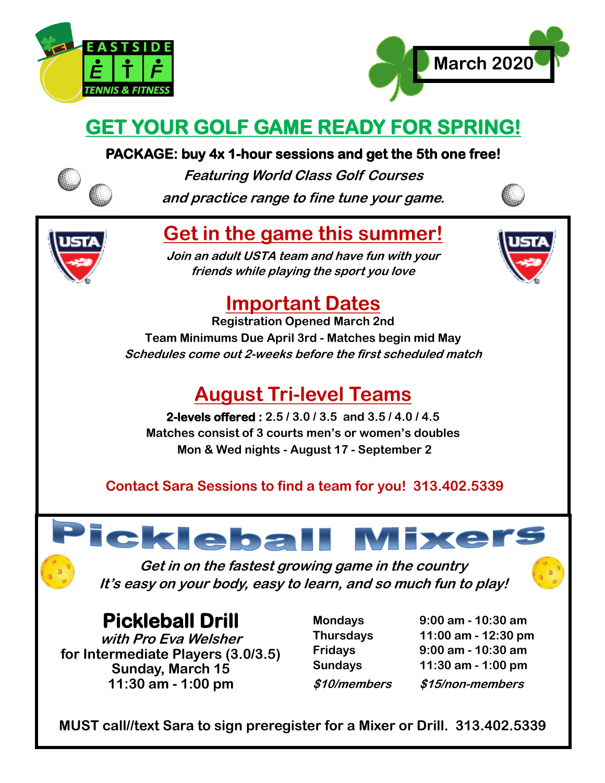



## **GET YOUR GOLF GAME READY FOR SPRING!**

#### **PACKAGE: buy 4x 1-hour sessions and get the 5th one free!**



**Featuring World Class Golf Courses and practice range to fine tune your game.** 



## **Get in the game this summer!**

**Join an adult USTA team and have fun with your friends while playing the sport you love**



## **Important Dates**

**Registration Opened March 2nd Team Minimums Due April 3rd - Matches begin mid May Schedules come out 2-weeks before the first scheduled match**

## **August Tri-level Teams**

**2-levels offered : 2.5 / 3.0 / 3.5 and 3.5 / 4.0 / 4.5 Matches consist of 3 courts men's or women's doubles Mon & Wed nights - August 17 - September 2**

#### **Contact Sara Sessions to find a team for you! 313.402.5339**

# ickleball Mixers

**Get in on the fastest growing game in the country It's easy on your body, easy to learn, and so much fun to play!**

#### **Pickleball Drill**

**with Pro Eva Welsher for Intermediate Players (3.0/3.5) Sunday, March 15 11:30 am - 1:00 pm**

- 
- **Mondays 9:00 am - 10:30 am Thursdays 11:00 am - 12:30 pm Fridays 9:00 am - 10:30 am Sundays 11:30 am - 1:00 pm \$10/members \$15/non-members**

**MUST call//text Sara to sign preregister for a Mixer or Drill. 313.402.5339**